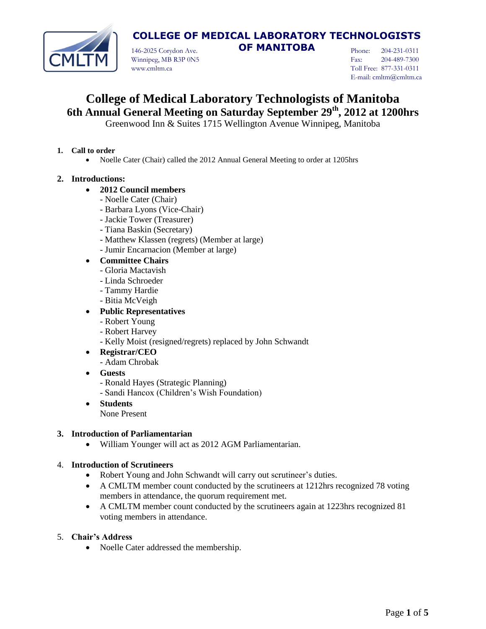

146-2025 Corydon Ave. **OF MANITOBA** Winnipeg, MB R3P 0N5 www.cmltm.ca

Phone: 204-231-0311 Fax: 204-489-7300 Toll Free: 877-331-0311 E-mail: cmltm@cmltm.ca

# **College of Medical Laboratory Technologists of Manitoba 6th Annual General Meeting on Saturday September 29th, 2012 at 1200hrs**

Greenwood Inn & Suites 1715 Wellington Avenue Winnipeg, Manitoba

#### **1. Call to order**

• Noelle Cater (Chair) called the 2012 Annual General Meeting to order at 1205hrs

### **2. Introductions:**

### **2012 Council members**

- Noelle Cater (Chair)
- Barbara Lyons (Vice-Chair)
- Jackie Tower (Treasurer)
- Tiana Baskin (Secretary)
- Matthew Klassen (regrets) (Member at large)
- Jumir Encarnacion (Member at large)
- **Committee Chairs**
	- Gloria Mactavish
	- Linda Schroeder
	- Tammy Hardie
	- Bitia McVeigh

### **Public Representatives**

- Robert Young
- Robert Harvey
- Kelly Moist (resigned/regrets) replaced by John Schwandt
- **Registrar/CEO**
	- Adam Chrobak
- **Guests**
	- Ronald Hayes (Strategic Planning)
	- Sandi Hancox (Children's Wish Foundation)
- **Students**
	- None Present

#### **3. Introduction of Parliamentarian**

William Younger will act as 2012 AGM Parliamentarian.

#### 4. **Introduction of Scrutineers**

- Robert Young and John Schwandt will carry out scrutineer's duties.
- A CMLTM member count conducted by the scrutineers at 1212hrs recognized 78 voting members in attendance, the quorum requirement met.
- A CMLTM member count conducted by the scrutineers again at 1223hrs recognized 81 voting members in attendance.

#### 5. **Chair's Address**

Noelle Cater addressed the membership.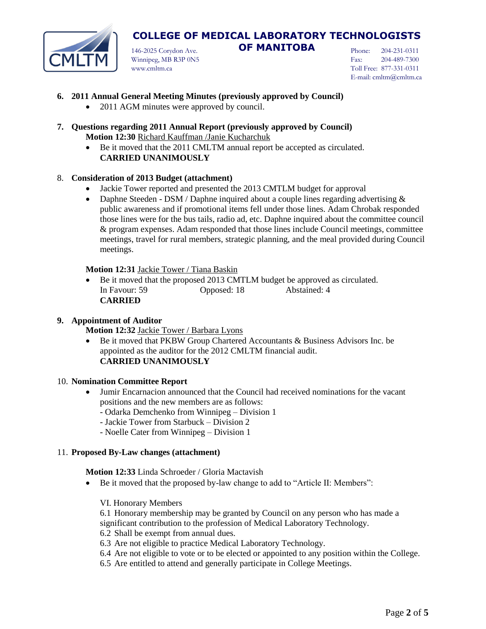

146-2025 Corydon Ave. **OF MANITOBA** Winnipeg, MB R3P 0N5 www.cmltm.ca

Phone: 204-231-0311 Fax: 204-489-7300 Toll Free: 877-331-0311 E-mail: cmltm@cmltm.ca

- **6. 2011 Annual General Meeting Minutes (previously approved by Council)**
	- 2011 AGM minutes were approved by council.
- **7. Questions regarding 2011 Annual Report (previously approved by Council) Motion 12:30** Richard Kauffman /Janie Kucharchuk
	- Be it moved that the 2011 CMLTM annual report be accepted as circulated. **CARRIED UNANIMOUSLY**

#### 8. **Consideration of 2013 Budget (attachment)**

- Jackie Tower reported and presented the 2013 CMTLM budget for approval
- Daphne Steeden DSM / Daphne inquired about a couple lines regarding advertising  $\&$ public awareness and if promotional items fell under those lines. Adam Chrobak responded those lines were for the bus tails, radio ad, etc. Daphne inquired about the committee council & program expenses. Adam responded that those lines include Council meetings, committee meetings, travel for rural members, strategic planning, and the meal provided during Council meetings.

#### **Motion 12:31** Jackie Tower / Tiana Baskin

 Be it moved that the proposed 2013 CMTLM budget be approved as circulated. In Favour: 59 **Opposed: 18** Abstained: 4 **CARRIED**

#### **9. Appointment of Auditor**

**Motion 12:32** Jackie Tower / Barbara Lyons

 Be it moved that PKBW Group Chartered Accountants & Business Advisors Inc. be appointed as the auditor for the 2012 CMLTM financial audit. **CARRIED UNANIMOUSLY**

#### 10. **Nomination Committee Report**

- Jumir Encarnacion announced that the Council had received nominations for the vacant positions and the new members are as follows:
	- Odarka Demchenko from Winnipeg Division 1
	- Jackie Tower from Starbuck Division 2
	- Noelle Cater from Winnipeg Division 1

#### 11. **Proposed By-Law changes (attachment)**

**Motion 12:33** Linda Schroeder / Gloria Mactavish

- Be it moved that the proposed by-law change to add to "Article II: Members":
	- VI. Honorary Members
	- 6.1 Honorary membership may be granted by Council on any person who has made a

significant contribution to the profession of Medical Laboratory Technology.

- 6.2 Shall be exempt from annual dues.
- 6.3 Are not eligible to practice Medical Laboratory Technology.
- 6.4 Are not eligible to vote or to be elected or appointed to any position within the College.
- 6.5 Are entitled to attend and generally participate in College Meetings.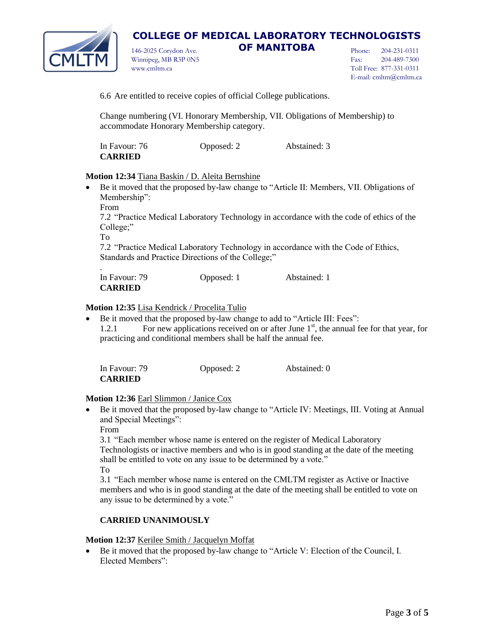

146-2025 Corydon Ave. **OF MANITOBA** Winnipeg, MB R3P 0N5 www.cmltm.ca

Phone: 204-231-0311 Fax: 204-489-7300 Toll Free: 877-331-0311 E-mail: cmltm@cmltm.ca

6.6 Are entitled to receive copies of official College publications.

Change numbering (VI. Honorary Membership, VII. Obligations of Membership) to accommodate Honorary Membership category.

| In Favour: 76  | Opposed: 2 | Abstained: 3 |
|----------------|------------|--------------|
| <b>CARRIED</b> |            |              |

#### **Motion 12:34** Tiana Baskin / D. Aleita Bernshine

- Be it moved that the proposed by-law change to "Article II: Members, VII. Obligations of Membership":
	- From

7.2 "Practice Medical Laboratory Technology in accordance with the code of ethics of the College;"

To

7.2 "Practice Medical Laboratory Technology in accordance with the Code of Ethics, Standards and Practice Directions of the College;"

| In Favour: 79  | Opposed: 1 | Abstained: 1 |
|----------------|------------|--------------|
| <b>CARRIED</b> |            |              |

#### **Motion 12:35** Lisa Kendrick / Procelita Tulio

 Be it moved that the proposed by-law change to add to "Article III: Fees": 1.2.1 For new applications received on or after June  $1<sup>st</sup>$ , the annual fee for that year, for practicing and conditional members shall be half the annual fee.

| In Favour: 79  | Opposed: 2 | Abstained: 0 |
|----------------|------------|--------------|
| <b>CARRIED</b> |            |              |

#### **Motion 12:36** Earl Slimmon / Janice Cox

 Be it moved that the proposed by-law change to "Article IV: Meetings, III. Voting at Annual and Special Meetings":

From

3.1 "Each member whose name is entered on the register of Medical Laboratory Technologists or inactive members and who is in good standing at the date of the meeting shall be entitled to vote on any issue to be determined by a vote." To

3.1 "Each member whose name is entered on the CMLTM register as Active or Inactive members and who is in good standing at the date of the meeting shall be entitled to vote on any issue to be determined by a vote."

## **CARRIED UNANIMOUSLY**

#### **Motion 12:37** Kerilee Smith / Jacquelyn Moffat

 Be it moved that the proposed by-law change to "Article V: Election of the Council, I. Elected Members":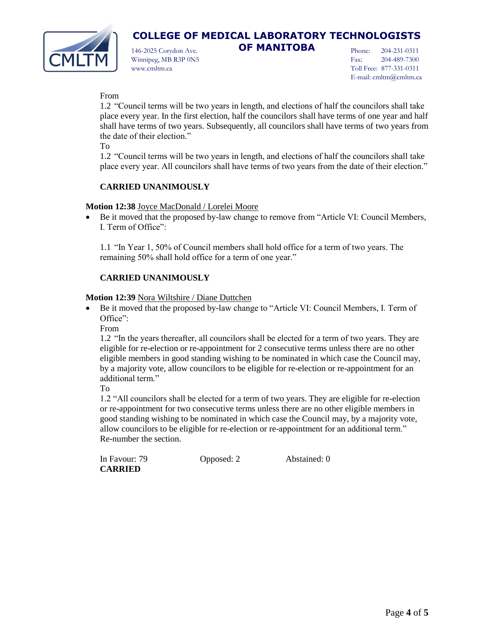

146-2025 Corydon Ave. **OF MANITOBA** Winnipeg, MB R3P 0N5 www.cmltm.ca

Phone: 204-231-0311 Fax: 204-489-7300 Toll Free: 877-331-0311 E-mail: cmltm@cmltm.ca

### From

1.2 "Council terms will be two years in length, and elections of half the councilors shall take place every year. In the first election, half the councilors shall have terms of one year and half shall have terms of two years. Subsequently, all councilors shall have terms of two years from the date of their election."

To

1.2 "Council terms will be two years in length, and elections of half the councilors shall take place every year. All councilors shall have terms of two years from the date of their election."

## **CARRIED UNANIMOUSLY**

#### **Motion 12:38** Joyce MacDonald / Lorelei Moore

 Be it moved that the proposed by-law change to remove from "Article VI: Council Members, I. Term of Office":

1.1 "In Year 1, 50% of Council members shall hold office for a term of two years. The remaining 50% shall hold office for a term of one year."

## **CARRIED UNANIMOUSLY**

#### **Motion 12:39** Nora Wiltshire / Diane Duttchen

 Be it moved that the proposed by-law change to "Article VI: Council Members, I. Term of Office":

From

1.2 "In the years thereafter, all councilors shall be elected for a term of two years. They are eligible for re-election or re-appointment for 2 consecutive terms unless there are no other eligible members in good standing wishing to be nominated in which case the Council may, by a majority vote, allow councilors to be eligible for re-election or re-appointment for an additional term."

To

1.2 "All councilors shall be elected for a term of two years. They are eligible for re-election or re-appointment for two consecutive terms unless there are no other eligible members in good standing wishing to be nominated in which case the Council may, by a majority vote, allow councilors to be eligible for re-election or re-appointment for an additional term." Re-number the section.

| In Favour: 79  | Opposed: 2 | Abstained: 0 |
|----------------|------------|--------------|
| <b>CARRIED</b> |            |              |